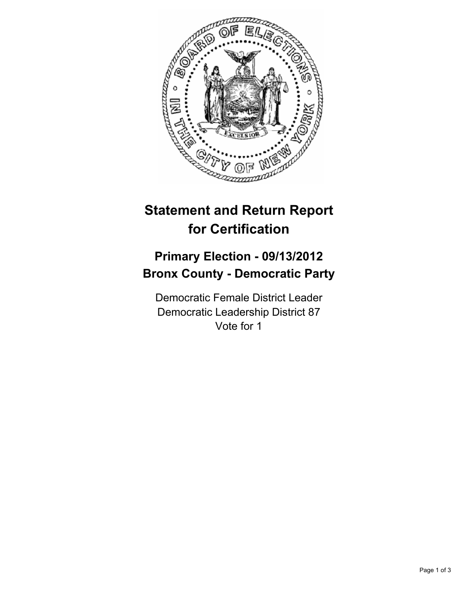

## **Statement and Return Report for Certification**

## **Primary Election - 09/13/2012 Bronx County - Democratic Party**

Democratic Female District Leader Democratic Leadership District 87 Vote for 1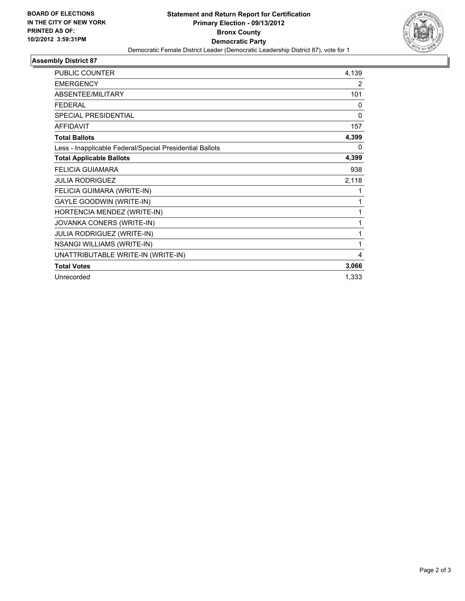

## **Assembly District 87**

| <b>PUBLIC COUNTER</b>                                    | 4,139        |
|----------------------------------------------------------|--------------|
| <b>EMERGENCY</b>                                         | 2            |
| <b>ABSENTEE/MILITARY</b>                                 | 101          |
| <b>FFDFRAI</b>                                           | $\mathbf{0}$ |
| <b>SPECIAL PRESIDENTIAL</b>                              | 0            |
| <b>AFFIDAVIT</b>                                         | 157          |
| <b>Total Ballots</b>                                     | 4,399        |
| Less - Inapplicable Federal/Special Presidential Ballots | 0            |
| <b>Total Applicable Ballots</b>                          | 4,399        |
| <b>FELICIA GUIAMARA</b>                                  | 938          |
| <b>JULIA RODRIGUEZ</b>                                   | 2,118        |
| FELICIA GUIMARA (WRITE-IN)                               | 1            |
| GAYLE GOODWIN (WRITE-IN)                                 | 1            |
| HORTENCIA MENDEZ (WRITE-IN)                              | 1            |
| JOVANKA CONERS (WRITE-IN)                                | 1            |
| JULIA RODRIGUEZ (WRITE-IN)                               | 1            |
| <b>NSANGI WILLIAMS (WRITE-IN)</b>                        | 1            |
| UNATTRIBUTABLE WRITE-IN (WRITE-IN)                       | 4            |
| <b>Total Votes</b>                                       | 3,066        |
| Unrecorded                                               | 1,333        |